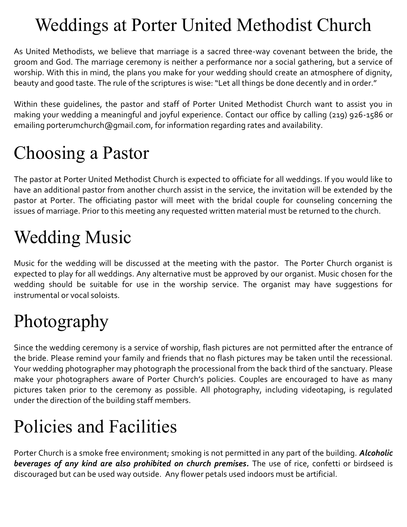#### Weddings at Porter United Methodist Church

As United Methodists, we believe that marriage is a sacred three-way covenant between the bride, the groom and God. The marriage ceremony is neither a performance nor a social gathering, but a service of worship. With this in mind, the plans you make for your wedding should create an atmosphere of dignity, beauty and good taste. The rule of the scriptures is wise: "Let all things be done decently and in order."

Within these guidelines, the pastor and staff of Porter United Methodist Church want to assist you in making your wedding a meaningful and joyful experience. Contact our office by calling (219) 926-1586 or emailing porterumchurch@gmail.com, for information regarding rates and availability.

## Choosing a Pastor

The pastor at Porter United Methodist Church is expected to officiate for all weddings. If you would like to have an additional pastor from another church assist in the service, the invitation will be extended by the pastor at Porter. The officiating pastor will meet with the bridal couple for counseling concerning the issues of marriage. Prior to this meeting any requested written material must be returned to the church.

## Wedding Music

Music for the wedding will be discussed at the meeting with the pastor. The Porter Church organist is expected to play for all weddings. Any alternative must be approved by our organist. Music chosen for the wedding should be suitable for use in the worship service. The organist may have suggestions for instrumental or vocal soloists.

## Photography

Since the wedding ceremony is a service of worship, flash pictures are not permitted after the entrance of the bride. Please remind your family and friends that no flash pictures may be taken until the recessional. Your wedding photographer may photograph the processional from the back third of the sanctuary. Please make your photographers aware of Porter Church's policies. Couples are encouraged to have as many pictures taken prior to the ceremony as possible. All photography, including videotaping, is regulated under the direction of the building staff members.

# Policies and Facilities

Porter Church is a smoke free environment; smoking is not permitted in any part of the building. *Alcoholic beverages of any kind are also prohibited on church premises.* The use of rice, confetti or birdseed is discouraged but can be used way outside. Any flower petals used indoors must be artificial.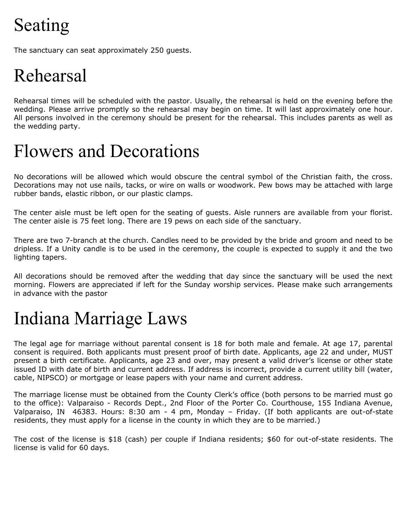# Seating

The sanctuary can seat approximately 250 guests.

### Rehearsal

Rehearsal times will be scheduled with the pastor. Usually, the rehearsal is held on the evening before the wedding. Please arrive promptly so the rehearsal may begin on time. It will last approximately one hour. All persons involved in the ceremony should be present for the rehearsal. This includes parents as well as the wedding party.

#### Flowers and Decorations

No decorations will be allowed which would obscure the central symbol of the Christian faith, the cross. Decorations may not use nails, tacks, or wire on walls or woodwork. Pew bows may be attached with large rubber bands, elastic ribbon, or our plastic clamps.

The center aisle must be left open for the seating of guests. Aisle runners are available from your florist. The center aisle is 75 feet long. There are 19 pews on each side of the sanctuary.

There are two 7-branch at the church. Candles need to be provided by the bride and groom and need to be dripless. If a Unity candle is to be used in the ceremony, the couple is expected to supply it and the two lighting tapers.

All decorations should be removed after the wedding that day since the sanctuary will be used the next morning. Flowers are appreciated if left for the Sunday worship services. Please make such arrangements in advance with the pastor

#### Indiana Marriage Laws

The legal age for marriage without parental consent is 18 for both male and female. At age 17, parental consent is required. Both applicants must present proof of birth date. Applicants, age 22 and under, MUST present a birth certificate. Applicants, age 23 and over, may present a valid driver's license or other state issued ID with date of birth and current address. If address is incorrect, provide a current utility bill (water, cable, NIPSCO) or mortgage or lease papers with your name and current address.

The marriage license must be obtained from the County Clerk's office (both persons to be married must go to the office): Valparaiso - Records Dept., 2nd Floor of the Porter Co. Courthouse, 155 Indiana Avenue, Valparaiso, IN 46383. Hours: 8:30 am - 4 pm, Monday – Friday. (If both applicants are out-of-state residents, they must apply for a license in the county in which they are to be married.)

The cost of the license is \$18 (cash) per couple if Indiana residents; \$60 for out-of-state residents. The license is valid for 60 days.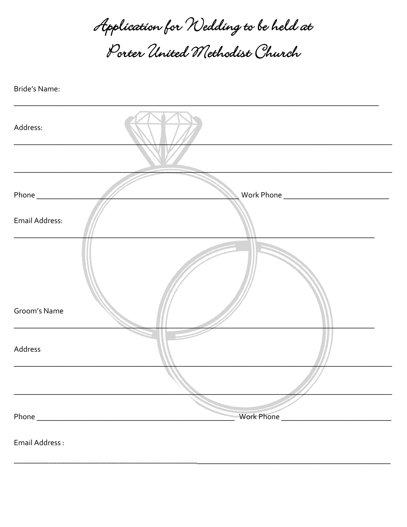Application for Nedding to be held at Porter United Methodist Church

Bride's Name:

| Address:       |  |
|----------------|--|
|                |  |
|                |  |
| Email Address: |  |
| Groom's Name   |  |
| Address        |  |
|                |  |
|                |  |
|                |  |

Email Address: